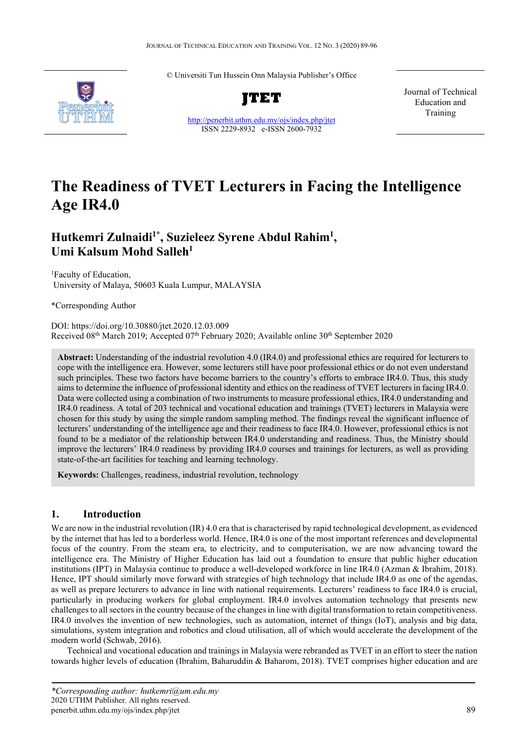© Universiti Tun Hussein Onn Malaysia Publisher's Office



<http://penerbit.uthm.edu.my/ojs/index.php/jtet> ISSN 2229-8932 e-ISSN 2600-7932

Journal of Technical Education and Training

# **The Readiness of TVET Lecturers in Facing the Intelligence Age IR4.0**

# **Hutkemri Zulnaidi1\*, Suzieleez Syrene Abdul Rahim1 , Umi Kalsum Mohd Salleh1**

1 Faculty of Education, University of Malaya, 50603 Kuala Lumpur, MALAYSIA

\*Corresponding Author

DOI: https://doi.org/10.30880/jtet.2020.12.03.009 Received  $08<sup>th</sup>$  March 2019; Accepted  $07<sup>th</sup>$  February 2020; Available online 30<sup>th</sup> September 2020

**Abstract:** Understanding of the industrial revolution 4.0 (IR4.0) and professional ethics are required for lecturers to cope with the intelligence era. However, some lecturers still have poor professional ethics or do not even understand such principles. These two factors have become barriers to the country's efforts to embrace IR4.0. Thus, this study aims to determine the influence of professional identity and ethics on the readiness of TVET lecturers in facing IR4.0. Data were collected using a combination of two instruments to measure professional ethics, IR4.0 understanding and IR4.0 readiness. A total of 203 technical and vocational education and trainings (TVET) lecturers in Malaysia were chosen for this study by using the simple random sampling method. The findings reveal the significant influence of lecturers' understanding of the intelligence age and their readiness to face IR4.0. However, professional ethics is not found to be a mediator of the relationship between IR4.0 understanding and readiness. Thus, the Ministry should improve the lecturers' IR4.0 readiness by providing IR4.0 courses and trainings for lecturers, as well as providing state-of-the-art facilities for teaching and learning technology.

**Keywords:** Challenges, readiness, industrial revolution, technology

# **1. Introduction**

We are now in the industrial revolution (IR) 4.0 era that is characterised by rapid technological development, as evidenced by the internet that has led to a borderless world. Hence, IR4.0 is one of the most important references and developmental focus of the country. From the steam era, to electricity, and to computerisation, we are now advancing toward the intelligence era. The Ministry of Higher Education has laid out a foundation to ensure that public higher education institutions (IPT) in Malaysia continue to produce a well-developed workforce in line IR4.0 (Azman & Ibrahim, 2018). Hence, IPT should similarly move forward with strategies of high technology that include IR4.0 as one of the agendas, as well as prepare lecturers to advance in line with national requirements. Lecturers' readiness to face IR4.0 is crucial, particularly in producing workers for global employment. IR4.0 involves automation technology that presents new challenges to all sectors in the country because of the changes in line with digital transformation to retain competitiveness. IR4.0 involves the invention of new technologies, such as automation, internet of things (IoT), analysis and big data, simulations, system integration and robotics and cloud utilisation, all of which would accelerate the development of the modern world (Schwab, 2016).

Technical and vocational education and trainings in Malaysia were rebranded as TVET in an effort to steer the nation towards higher levels of education (Ibrahim, Baharuddin & Baharom, 2018). TVET comprises higher education and are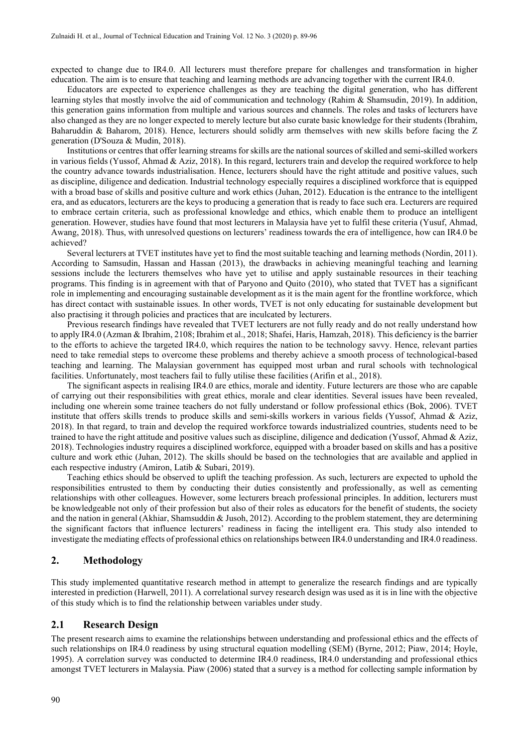expected to change due to IR4.0. All lecturers must therefore prepare for challenges and transformation in higher education. The aim is to ensure that teaching and learning methods are advancing together with the current IR4.0.

Educators are expected to experience challenges as they are teaching the digital generation, who has different learning styles that mostly involve the aid of communication and technology (Rahim & Shamsudin, 2019). In addition, this generation gains information from multiple and various sources and channels. The roles and tasks of lecturers have also changed as they are no longer expected to merely lecture but also curate basic knowledge for their students (Ibrahim, Baharuddin & Baharom, 2018). Hence, lecturers should solidly arm themselves with new skills before facing the Z generation (D'Souza & Mudin, 2018).

Institutions or centres that offer learning streams for skills are the national sources of skilled and semi-skilled workers in various fields (Yussof, Ahmad & Aziz, 2018). In this regard, lecturers train and develop the required workforce to help the country advance towards industrialisation. Hence, lecturers should have the right attitude and positive values, such as discipline, diligence and dedication. Industrial technology especially requires a disciplined workforce that is equipped with a broad base of skills and positive culture and work ethics (Juhan, 2012). Education is the entrance to the intelligent era, and as educators, lecturers are the keys to producing a generation that is ready to face such era. Lecturers are required to embrace certain criteria, such as professional knowledge and ethics, which enable them to produce an intelligent generation. However, studies have found that most lecturers in Malaysia have yet to fulfil these criteria (Yusuf, Ahmad, Awang, 2018). Thus, with unresolved questions on lecturers' readiness towards the era of intelligence, how can IR4.0 be achieved?

Several lecturers at TVET institutes have yet to find the most suitable teaching and learning methods (Nordin, 2011). According to Samsudin, Hassan and Hassan (2013), the drawbacks in achieving meaningful teaching and learning sessions include the lecturers themselves who have yet to utilise and apply sustainable resources in their teaching programs. This finding is in agreement with that of Paryono and Quito (2010), who stated that TVET has a significant role in implementing and encouraging sustainable development as it is the main agent for the frontline workforce, which has direct contact with sustainable issues. In other words, TVET is not only educating for sustainable development but also practising it through policies and practices that are inculcated by lecturers.

Previous research findings have revealed that TVET lecturers are not fully ready and do not really understand how to apply IR4.0 (Azman & Ibrahim, 2108; Ibrahim et al., 2018; Shafei, Haris, Hamzah, 2018). This deficiency is the barrier to the efforts to achieve the targeted IR4.0, which requires the nation to be technology savvy. Hence, relevant parties need to take remedial steps to overcome these problems and thereby achieve a smooth process of technological-based teaching and learning. The Malaysian government has equipped most urban and rural schools with technological facilities. Unfortunately, most teachers fail to fully utilise these facilities (Arifin et al., 2018).

The significant aspects in realising IR4.0 are ethics, morale and identity. Future lecturers are those who are capable of carrying out their responsibilities with great ethics, morale and clear identities. Several issues have been revealed, including one wherein some trainee teachers do not fully understand or follow professional ethics (Bok, 2006). TVET institute that offers skills trends to produce skills and semi-skills workers in various fields (Yussof, Ahmad & Aziz, 2018). In that regard, to train and develop the required workforce towards industrialized countries, students need to be trained to have the right attitude and positive values such as discipline, diligence and dedication (Yussof, Ahmad & Aziz, 2018). Technologies industry requires a disciplined workforce, equipped with a broader based on skills and has a positive culture and work ethic (Juhan, 2012). The skills should be based on the technologies that are available and applied in each respective industry (Amiron, Latib & Subari, 2019).

Teaching ethics should be observed to uplift the teaching profession. As such, lecturers are expected to uphold the responsibilities entrusted to them by conducting their duties consistently and professionally, as well as cementing relationships with other colleagues. However, some lecturers breach professional principles. In addition, lecturers must be knowledgeable not only of their profession but also of their roles as educators for the benefit of students, the society and the nation in general (Akhiar, Shamsuddin & Jusoh, 2012). According to the problem statement, they are determining the significant factors that influence lecturers' readiness in facing the intelligent era. This study also intended to investigate the mediating effects of professional ethics on relationships between IR4.0 understanding and IR4.0 readiness.

### **2. Methodology**

This study implemented quantitative research method in attempt to generalize the research findings and are typically interested in prediction (Harwell, 2011). A correlational survey research design was used as it is in line with the objective of this study which is to find the relationship between variables under study.

#### **2.1 Research Design**

The present research aims to examine the relationships between understanding and professional ethics and the effects of such relationships on IR4.0 readiness by using structural equation modelling (SEM) (Byrne, 2012; Piaw, 2014; Hoyle, 1995). A correlation survey was conducted to determine IR4.0 readiness, IR4.0 understanding and professional ethics amongst TVET lecturers in Malaysia. Piaw (2006) stated that a survey is a method for collecting sample information by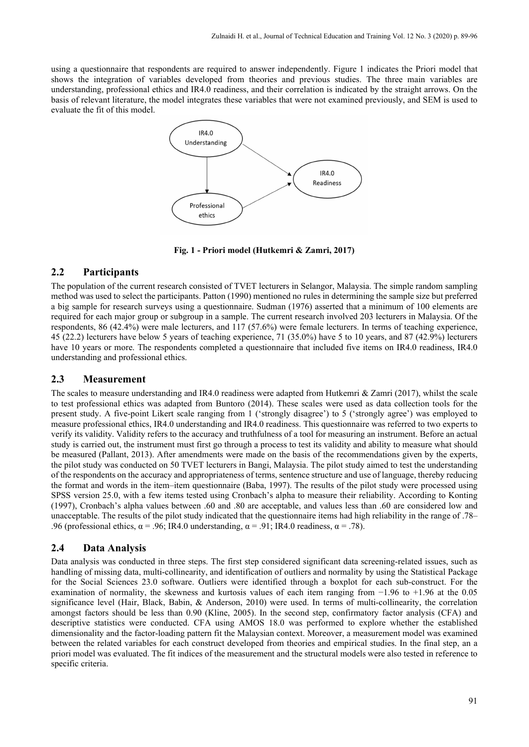using a questionnaire that respondents are required to answer independently. Figure 1 indicates the Priori model that shows the integration of variables developed from theories and previous studies. The three main variables are understanding, professional ethics and IR4.0 readiness, and their correlation is indicated by the straight arrows. On the basis of relevant literature, the model integrates these variables that were not examined previously, and SEM is used to evaluate the fit of this model.



**Fig. 1 - Priori model (Hutkemri & Zamri, 2017)**

## **2.2 Participants**

The population of the current research consisted of TVET lecturers in Selangor, Malaysia. The simple random sampling method was used to select the participants. Patton (1990) mentioned no rules in determining the sample size but preferred a big sample for research surveys using a questionnaire. Sudman (1976) asserted that a minimum of 100 elements are required for each major group or subgroup in a sample. The current research involved 203 lecturers in Malaysia. Of the respondents, 86 (42.4%) were male lecturers, and 117 (57.6%) were female lecturers. In terms of teaching experience, 45 (22.2) lecturers have below 5 years of teaching experience, 71 (35.0%) have 5 to 10 years, and 87 (42.9%) lecturers have 10 years or more. The respondents completed a questionnaire that included five items on IR4.0 readiness, IR4.0 understanding and professional ethics.

### **2.3 Measurement**

The scales to measure understanding and IR4.0 readiness were adapted from Hutkemri & Zamri (2017), whilst the scale to test professional ethics was adapted from Buntoro (2014). These scales were used as data collection tools for the present study. A five-point Likert scale ranging from 1 ('strongly disagree') to 5 ('strongly agree') was employed to measure professional ethics, IR4.0 understanding and IR4.0 readiness. This questionnaire was referred to two experts to verify its validity. Validity refers to the accuracy and truthfulness of a tool for measuring an instrument. Before an actual study is carried out, the instrument must first go through a process to test its validity and ability to measure what should be measured (Pallant, 2013). After amendments were made on the basis of the recommendations given by the experts, the pilot study was conducted on 50 TVET lecturers in Bangi, Malaysia. The pilot study aimed to test the understanding of the respondents on the accuracy and appropriateness of terms, sentence structure and use of language, thereby reducing the format and words in the item–item questionnaire (Baba, 1997). The results of the pilot study were processed using SPSS version 25.0, with a few items tested using Cronbach's alpha to measure their reliability. According to Konting (1997), Cronbach's alpha values between .60 and .80 are acceptable, and values less than .60 are considered low and unacceptable. The results of the pilot study indicated that the questionnaire items had high reliability in the range of .78– .96 (professional ethics,  $\alpha = .96$ ; IR4.0 understanding,  $\alpha = .91$ ; IR4.0 readiness,  $\alpha = .78$ ).

### **2.4 Data Analysis**

Data analysis was conducted in three steps. The first step considered significant data screening-related issues, such as handling of missing data, multi-collinearity, and identification of outliers and normality by using the Statistical Package for the Social Sciences 23.0 software. Outliers were identified through a boxplot for each sub-construct. For the examination of normality, the skewness and kurtosis values of each item ranging from −1.96 to +1.96 at the 0.05 significance level (Hair, Black, Babin, & Anderson, 2010) were used. In terms of multi-collinearity, the correlation amongst factors should be less than 0.90 (Kline, 2005). In the second step, confirmatory factor analysis (CFA) and descriptive statistics were conducted. CFA using AMOS 18.0 was performed to explore whether the established dimensionality and the factor-loading pattern fit the Malaysian context. Moreover, a measurement model was examined between the related variables for each construct developed from theories and empirical studies. In the final step, an a priori model was evaluated. The fit indices of the measurement and the structural models were also tested in reference to specific criteria.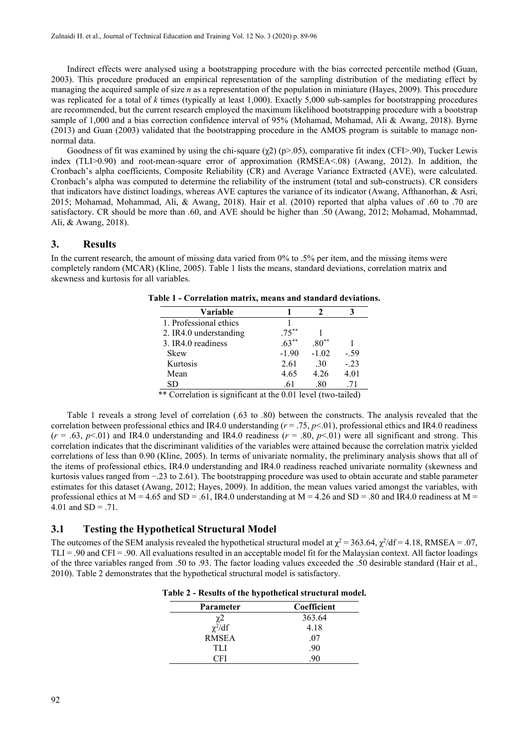Indirect effects were analysed using a bootstrapping procedure with the bias corrected percentile method (Guan, 2003). This procedure produced an empirical representation of the sampling distribution of the mediating effect by managing the acquired sample of size *n* as a representation of the population in miniature (Hayes, 2009). This procedure was replicated for a total of *k* times (typically at least 1,000). Exactly 5,000 sub-samples for bootstrapping procedures are recommended, but the current research employed the maximum likelihood bootstrapping procedure with a bootstrap sample of 1,000 and a bias correction confidence interval of 95% (Mohamad, Mohamad, Ali & Awang, 2018). Byrne (2013) and Guan (2003) validated that the bootstrapping procedure in the AMOS program is suitable to manage nonnormal data.

Goodness of fit was examined by using the chi-square  $(\chi^2)$  (p>.05), comparative fit index (CFI>.90), Tucker Lewis index (TLI>0.90) and root-mean-square error of approximation (RMSEA<.08) (Awang, 2012). In addition, the Cronbach's alpha coefficients, Composite Reliability (CR) and Average Variance Extracted (AVE), were calculated. Cronbach's alpha was computed to determine the reliability of the instrument (total and sub-constructs). CR considers that indicators have distinct loadings, whereas AVE captures the variance of its indicator (Awang, Afthanorhan, & Asri, 2015; Mohamad, Mohammad, Ali, & Awang, 2018). Hair et al. (2010) reported that alpha values of .60 to .70 are satisfactory. CR should be more than .60, and AVE should be higher than .50 (Awang, 2012; Mohamad, Mohammad, Ali, & Awang, 2018).

#### **3. Results**

In the current research, the amount of missing data varied from 0% to .5% per item, and the missing items were completely random (MCAR) (Kline, 2005). Table 1 lists the means, standard deviations, correlation matrix and skewness and kurtosis for all variables.

| Variable               |          |                  |        |
|------------------------|----------|------------------|--------|
| 1. Professional ethics |          |                  |        |
| 2. IR4.0 understanding | $.75***$ |                  |        |
| 3. IR4.0 readiness     | $.63***$ | $.80^{\ast\ast}$ |        |
| <b>Skew</b>            | $-1.90$  | $-1.02$          | $-.59$ |
| Kurtosis               | 2.61     | .30              | $-.23$ |
| Mean                   | 4.65     | 4.26             | 4.01   |
| SD                     | .61      | .80              | .71    |

**Table 1 - Correlation matrix, means and standard deviations.**

\*\* Correlation is significant at the 0.01 level (two-tailed)

Table 1 reveals a strong level of correlation (.63 to .80) between the constructs. The analysis revealed that the correlation between professional ethics and IR4.0 understanding  $(r = .75, p < .01)$ , professional ethics and IR4.0 readiness  $(r = .63, p < .01)$  and IR4.0 understanding and IR4.0 readiness  $(r = .80, p < .01)$  were all significant and strong. This correlation indicates that the discriminant validities of the variables were attained because the correlation matrix yielded correlations of less than 0.90 (Kline, 2005). In terms of univariate normality, the preliminary analysis shows that all of the items of professional ethics, IR4.0 understanding and IR4.0 readiness reached univariate normality (skewness and kurtosis values ranged from −.23 to 2.61). The bootstrapping procedure was used to obtain accurate and stable parameter estimates for this dataset (Awang, 2012; Hayes, 2009). In addition, the mean values varied amongst the variables, with professional ethics at  $M = 4.65$  and  $SD = .61$ , IR4.0 understanding at  $M = 4.26$  and  $SD = .80$  and IR4.0 readiness at  $M =$ 4.01 and  $SD = .71$ .

#### **3.1 Testing the Hypothetical Structural Model**

The outcomes of the SEM analysis revealed the hypothetical structural model at  $\chi^2$  = 363.64,  $\chi^2/df$  = 4.18, RMSEA = .07, TLI = .90 and CFI = .90. All evaluations resulted in an acceptable model fit for the Malaysian context. All factor loadings of the three variables ranged from .50 to .93. The factor loading values exceeded the .50 desirable standard (Hair et al., 2010). Table 2 demonstrates that the hypothetical structural model is satisfactory.

| Parameter    | Coefficient |  |  |  |
|--------------|-------------|--|--|--|
| χ2           | 363.64      |  |  |  |
| $\chi^2/df$  | 4.18        |  |  |  |
| <b>RMSEA</b> | .07         |  |  |  |
| TLI          | .90         |  |  |  |
| CFI          | 90          |  |  |  |

**Table 2 - Results of the hypothetical structural model.**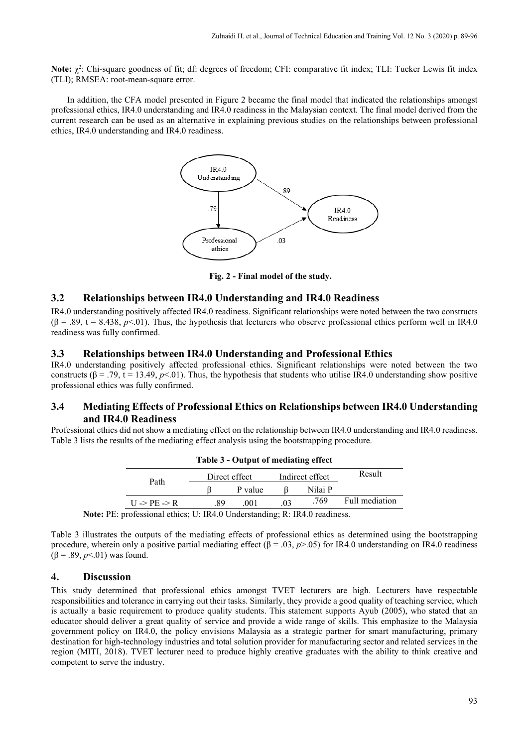Note: χ<sup>2</sup>: Chi-square goodness of fit; df: degrees of freedom; CFI: comparative fit index; TLI: Tucker Lewis fit index (TLI); RMSEA: root-mean-square error.

In addition, the CFA model presented in Figure 2 became the final model that indicated the relationships amongst professional ethics, IR4.0 understanding and IR4.0 readiness in the Malaysian context. The final model derived from the current research can be used as an alternative in explaining previous studies on the relationships between professional ethics, IR4.0 understanding and IR4.0 readiness.



**Fig. 2 - Final model of the study.**

### **3.2 Relationships between IR4.0 Understanding and IR4.0 Readiness**

IR4.0 understanding positively affected IR4.0 readiness. Significant relationships were noted between the two constructs  $(\beta = .89, t = 8.438, p < 01)$ . Thus, the hypothesis that lecturers who observe professional ethics perform well in IR4.0 readiness was fully confirmed.

#### **3.3 Relationships between IR4.0 Understanding and Professional Ethics**

IR4.0 understanding positively affected professional ethics. Significant relationships were noted between the two constructs  $(\beta = .79, t = 13.49, p < 01)$ . Thus, the hypothesis that students who utilise IR4.0 understanding show positive professional ethics was fully confirmed.

### **3.4 Mediating Effects of Professional Ethics on Relationships between IR4.0 Understanding and IR4.0 Readiness**

Professional ethics did not show a mediating effect on the relationship between IR4.0 understanding and IR4.0 readiness. Table 3 lists the results of the mediating effect analysis using the bootstrapping procedure.

| Table 3 - Output of mediating effect |                                                                                                                                                                                                                                                                                                                                    |         |                 |         |                |  |
|--------------------------------------|------------------------------------------------------------------------------------------------------------------------------------------------------------------------------------------------------------------------------------------------------------------------------------------------------------------------------------|---------|-----------------|---------|----------------|--|
| Path                                 | Direct effect                                                                                                                                                                                                                                                                                                                      |         | Indirect effect |         | Result         |  |
|                                      |                                                                                                                                                                                                                                                                                                                                    | P value |                 | Nilai P |                |  |
| $U \rightarrow PE \rightarrow R$     | -89                                                                                                                                                                                                                                                                                                                                | .001    | .03             | .769    | Full mediation |  |
|                                      | $\mathbf{r}$ $\mathbf{r}$ $\mathbf{r}$ $\mathbf{r}$ $\mathbf{r}$ $\mathbf{r}$ $\mathbf{r}$ $\mathbf{r}$ $\mathbf{r}$ $\mathbf{r}$ $\mathbf{r}$ $\mathbf{r}$ $\mathbf{r}$ $\mathbf{r}$ $\mathbf{r}$ $\mathbf{r}$ $\mathbf{r}$ $\mathbf{r}$ $\mathbf{r}$ $\mathbf{r}$ $\mathbf{r}$ $\mathbf{r}$ $\mathbf{r}$ $\mathbf{r}$ $\mathbf{$ |         | P T R A         |         |                |  |

**Note:** PE: professional ethics; U: IR4.0 Understanding; R: IR4.0 readiness.

Table 3 illustrates the outputs of the mediating effects of professional ethics as determined using the bootstrapping procedure, wherein only a positive partial mediating effect  $(\beta = .03, p > .05)$  for IR4.0 understanding on IR4.0 readiness  $(\beta = .89, p<.01)$  was found.

#### **4. Discussion**

This study determined that professional ethics amongst TVET lecturers are high. Lecturers have respectable responsibilities and tolerance in carrying out their tasks. Similarly, they provide a good quality of teaching service, which is actually a basic requirement to produce quality students. This statement supports Ayub (2005), who stated that an educator should deliver a great quality of service and provide a wide range of skills. This emphasize to the Malaysia government policy on IR4.0, the policy envisions Malaysia as a strategic partner for smart manufacturing, primary destination for high-technology industries and total solution provider for manufacturing sector and related services in the region (MITI, 2018). TVET lecturer need to produce highly creative graduates with the ability to think creative and competent to serve the industry.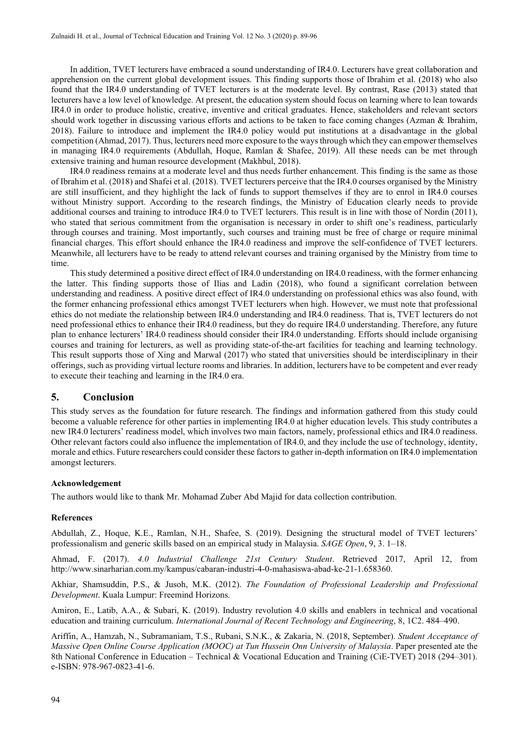In addition, TVET lecturers have embraced a sound understanding of IR4.0. Lecturers have great collaboration and apprehension on the current global development issues. This finding supports those of Ibrahim et al. (2018) who also found that the IR4.0 understanding of TVET lecturers is at the moderate level. By contrast, Rase (2013) stated that lecturers have a low level of knowledge. At present, the education system should focus on learning where to lean towards IR4.0 in order to produce holistic, creative, inventive and critical graduates. Hence, stakeholders and relevant sectors should work together in discussing various efforts and actions to be taken to face coming changes (Azman & Ibrahim, 2018). Failure to introduce and implement the IR4.0 policy would put institutions at a disadvantage in the global competition (Ahmad, 2017). Thus, lecturers need more exposure to the ways through which they can empower themselves in managing IR4.0 requirements (Abdullah, Hoque, Ramlan & Shafee, 2019). All these needs can be met through extensive training and human resource development (Makhbul, 2018).

IR4.0 readiness remains at a moderate level and thus needs further enhancement. This finding is the same as those of Ibrahim et al. (2018) and Shafei et al. (2018). TVET lecturers perceive that the IR4.0 courses organised by the Ministry are still insufficient, and they highlight the lack of funds to support themselves if they are to enrol in IR4.0 courses without Ministry support. According to the research findings, the Ministry of Education clearly needs to provide additional courses and training to introduce IR4.0 to TVET lecturers. This result is in line with those of Nordin (2011), who stated that serious commitment from the organisation is necessary in order to shift one's readiness, particularly through courses and training. Most importantly, such courses and training must be free of charge or require minimal financial charges. This effort should enhance the IR4.0 readiness and improve the self-confidence of TVET lecturers. Meanwhile, all lecturers have to be ready to attend relevant courses and training organised by the Ministry from time to time.

This study determined a positive direct effect of IR4.0 understanding on IR4.0 readiness, with the former enhancing the latter. This finding supports those of Ilias and Ladin (2018), who found a significant correlation between understanding and readiness. A positive direct effect of IR4.0 understanding on professional ethics was also found, with the former enhancing professional ethics amongst TVET lecturers when high. However, we must note that professional ethics do not mediate the relationship between IR4.0 understanding and IR4.0 readiness. That is, TVET lecturers do not need professional ethics to enhance their IR4.0 readiness, but they do require IR4.0 understanding. Therefore, any future plan to enhance lecturers' IR4.0 readiness should consider their IR4.0 understanding. Efforts should include organising courses and training for lecturers, as well as providing state-of-the-art facilities for teaching and learning technology. This result supports those of Xing and Marwal (2017) who stated that universities should be interdisciplinary in their offerings, such as providing virtual lecture rooms and libraries. In addition, lecturers have to be competent and ever ready to execute their teaching and learning in the IR4.0 era.

#### **5. Conclusion**

This study serves as the foundation for future research. The findings and information gathered from this study could become a valuable reference for other parties in implementing IR4.0 at higher education levels. This study contributes a new IR4.0 lecturers' readiness model, which involves two main factors, namely, professional ethics and IR4.0 readiness. Other relevant factors could also influence the implementation of IR4.0, and they include the use of technology, identity, morale and ethics. Future researchers could consider these factors to gather in-depth information on IR4.0 implementation amongst lecturers.

#### **Acknowledgement**

The authors would like to thank Mr. Mohamad Zuber Abd Majid for data collection contribution.

#### **References**

Abdullah, Z., Hoque, K.E., Ramlan, N.H., Shafee, S. (2019). Designing the structural model of TVET lecturers' professionalism and generic skills based on an empirical study in Malaysia. *SAGE Open*, 9, 3. 1–18.

Ahmad, F. (2017). *4.0 Industrial Challenge 21st Century Student*. Retrieved 2017, April 12, from http://www.sinarharian.com.my/kampus/cabaran-industri-4-0-mahasiswa-abad-ke-21-1.658360.

Akhiar, Shamsuddin, P.S., & Jusoh, M.K. (2012). *The Foundation of Professional Leadership and Professional Development*. Kuala Lumpur: Freemind Horizons.

Amiron, E., Latib, A.A., & Subari, K. (2019). Industry revolution 4.0 skills and enablers in technical and vocational education and training curriculum. *International Journal of Recent Technology and Engineering*, 8, 1C2. 484–490.

Ariffin, A., Hamzah, N., Subramaniam, T.S., Rubani, S.N.K., & Zakaria, N. (2018, September). *Student Acceptance of Massive Open Online Course Application (MOOC) at Tun Hussein Onn University of Malaysia*. Paper presented ate the 8th National Conference in Education – Technical & Vocational Education and Training (CiE-TVET) 2018 (294–301). e-ISBN: 978-967-0823-41-6.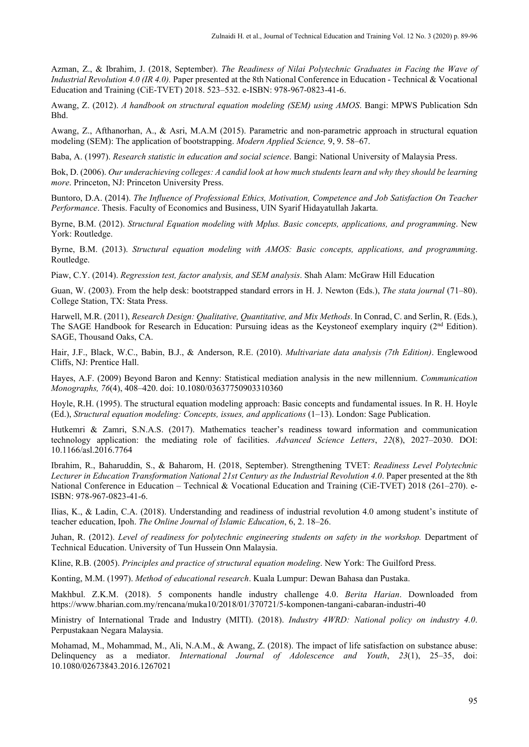Azman, Z., & Ibrahim, J. (2018, September). *The Readiness of Nilai Polytechnic Graduates in Facing the Wave of Industrial Revolution 4.0 (IR 4.0).* Paper presented at the 8th National Conference in Education - Technical & Vocational Education and Training (CiE-TVET) 2018. 523–532. e-ISBN: 978-967-0823-41-6.

Awang, Z. (2012). *A handbook on structural equation modeling (SEM) using AMOS*. Bangi: MPWS Publication Sdn Bhd.

Awang, Z., Afthanorhan, A., & Asri, M.A.M (2015). Parametric and non-parametric approach in structural equation modeling (SEM): The application of bootstrapping. *Modern Applied Science,* 9, 9. 58–67.

Baba, A. (1997). *Research statistic in education and social science*. Bangi: National University of Malaysia Press.

Bok, D. (2006). *Our underachieving colleges: A candid look at how much students learn and why they should be learning more*. Princeton, NJ: Princeton University Press.

Buntoro, D.A. (2014). *The Influence of Professional Ethics, Motivation, Competence and Job Satisfaction On Teacher Performance*. Thesis. Faculty of Economics and Business, UIN Syarif Hidayatullah Jakarta.

Byrne, B.M. (2012). *Structural Equation modeling with Mplus. Basic concepts, applications, and programming*. New York: Routledge.

Byrne, B.M. (2013). *Structural equation modeling with AMOS: Basic concepts, applications, and programming*. Routledge.

Piaw, C.Y. (2014). *Regression test, factor analysis, and SEM analysis*. Shah Alam: McGraw Hill Education

Guan, W. (2003). From the help desk: bootstrapped standard errors in H. J. Newton (Eds.), *The stata journal* (71–80). College Station, TX: Stata Press.

Harwell, M.R. (2011), *Research Design: Qualitative, Quantitative, and Mix Methods*. In Conrad, C. and Serlin, R. (Eds.), The SAGE Handbook for Research in Education: Pursuing ideas as the Keystoneof exemplary inquiry ( $2<sup>nd</sup>$  Edition). SAGE, Thousand Oaks, CA.

Hair, J.F., Black, W.C., Babin, B.J., & Anderson, R.E. (2010). *Multivariate data analysis (7th Edition)*. Englewood Cliffs, NJ: Prentice Hall.

Hayes, A.F. (2009) Beyond Baron and Kenny: Statistical mediation analysis in the new millennium. *Communication Monographs, 76*(4), 408–420. doi: 10.1080/03637750903310360

Hoyle, R.H. (1995). The structural equation modeling approach: Basic concepts and fundamental issues. In R. H. Hoyle (Ed.), *Structural equation modeling: Concepts, issues, and applications* (1–13). London: Sage Publication.

Hutkemri & Zamri, S.N.A.S. (2017). Mathematics teacher's readiness toward information and communication technology application: the mediating role of facilities. *[Advanced Science Letters](https://www.researchgate.net/journal/1936-7317_Advanced_Science_Letters)*, *22*(8), 2027–2030. DOI: [10.1166/asl.2016.7764](http://dx.doi.org/10.1166/asl.2016.7764)

Ibrahim, R., Baharuddin, S., & Baharom, H. (2018, September). Strengthening TVET: *Readiness Level Polytechnic Lecturer in Education Transformation National 21st Century as the Industrial Revolution 4.0*. Paper presented at the 8th National Conference in Education – Technical & Vocational Education and Training (CiE-TVET) 2018 (261–270). e-ISBN: 978-967-0823-41-6.

Ilias, K., & Ladin, C.A. (2018). Understanding and readiness of industrial revolution 4.0 among student's institute of teacher education, Ipoh. *The Online Journal of Islamic Education*, 6, 2. 18–26.

Juhan, R. (2012). *Level of readiness for polytechnic engineering students on safety in the workshop.* Department of Technical Education. University of Tun Hussein Onn Malaysia.

Kline, R.B. (2005). *Principles and practice of structural equation modeling*. New York: The Guilford Press.

Konting, M.M. (1997). *Method of educational research*. Kuala Lumpur: Dewan Bahasa dan Pustaka.

Makhbul. Z.K.M. (2018). 5 components handle industry challenge 4.0. *Berita Harian*. Downloaded from https://www.bharian.com.my/rencana/muka10/2018/01/370721/5-komponen-tangani-cabaran-industri-40

Ministry of International Trade and Industry (MITI). (2018). *Industry 4WRD: National policy on industry 4.0*. Perpustakaan Negara Malaysia.

Mohamad, M., Mohammad, M., Ali, N.A.M., & Awang, Z. (2018). The impact of life satisfaction on substance abuse: Delinquency as a mediator. *International Journal of Adolescence and Youth*, *23*(1), 25–35, doi: 10.1080/02673843.2016.1267021